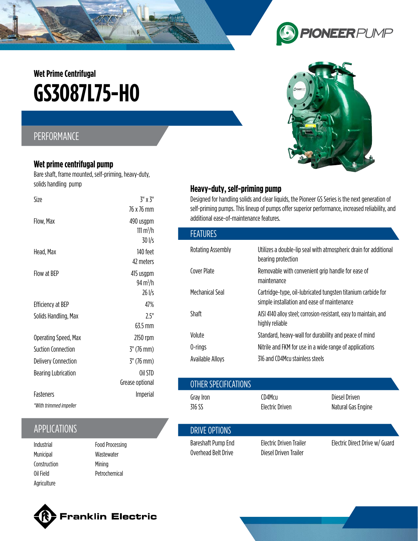# **GS3O87L75-HO Wet Prime Centrifugal**

## PERFORMANCE

#### **Wet prime centrifugal pump**

Bare shaft, frame mounted, self-priming, heavy-duty, solids handling pump

| Size                       | $3''$ x $3''$        |
|----------------------------|----------------------|
|                            | 76 x 76 mm           |
| Flow, Max                  | 490 usgpm            |
|                            | 111 $m^3/h$          |
|                            | $30$ I/s             |
| Head, Max                  | 140 feet             |
|                            | 47 meters            |
| Flow at BFP                | 415 usgpm            |
|                            | 94 m <sup>3</sup> /h |
|                            | $26$ I/s             |
| Efficiency at BEP          | 47%                  |
| Solids Handling, Max       | 75"                  |
|                            | 63.5 mm              |
| Operating Speed, Max       | 2150 rpm             |
| Suction Connection         | $3''$ (76 mm)        |
| <b>Delivery Connection</b> | $3''$ (76 mm)        |
| <b>Bearing Lubrication</b> | Oil STD              |
|                            | Grease optional      |
| <b>Fasteners</b>           | <b>Imperial</b>      |
| *With trimmed impeller     |                      |

## APPLICATIONS

- Municipal Construction Oil Field Agriculture
- Food Processing Wastewater Mining Petrochemical

## $\bigodot$ **PIONEERPUMP**



### **Heavy-duty, self-priming pump**

Overhead Belt Drive

Designed for handling solids and clear liquids, the Pioneer GS Series is the next generation of self-priming pumps. This lineup of pumps offer superior performance, increased reliability, and additional ease-of-maintenance features.

| <b>FEATURES</b>   |                                                                                                             |
|-------------------|-------------------------------------------------------------------------------------------------------------|
| Rotating Assembly | Utilizes a double-lip seal with atmospheric drain for additional<br>bearing protection                      |
| Cover Plate       | Removable with convenient grip handle for ease of<br>maintenance                                            |
| Mechanical Seal   | Cartridge-type, oil-lubricated tungsten titanium carbide for<br>simple installation and ease of maintenance |
| Shaft             | AISI 4140 alloy steel; corrosion-resistant, easy to maintain, and<br>highly reliable                        |
| Volute            | Standard, heavy-wall for durability and peace of mind                                                       |
| 0-rings           | Nitrile and FKM for use in a wide range of applications                                                     |
| Available Alloys  | 316 and CD4Mcu stainless steels                                                                             |

| ---------------------                      |                        |                      |                                |                                     |
|--------------------------------------------|------------------------|----------------------|--------------------------------|-------------------------------------|
|                                            | Grease optional        | OTHER SPECIFICATIONS |                                |                                     |
| <b>Fasteners</b><br>*With trimmed impeller | Imperial               | Gray Iron<br>316 SS  | CD4Mcu<br>Electric Driven      | Diesel Driven<br>Natural Gas Engine |
| <b>APPLICATIONS</b>                        |                        | DRIVE OPTIONS        |                                |                                     |
| Industrial                                 | <b>Food Processing</b> | Bareshaft Pump End   | <b>Electric Driven Trailer</b> | Electric Direct Drive w/ Guard      |

Diesel Driven Trailer